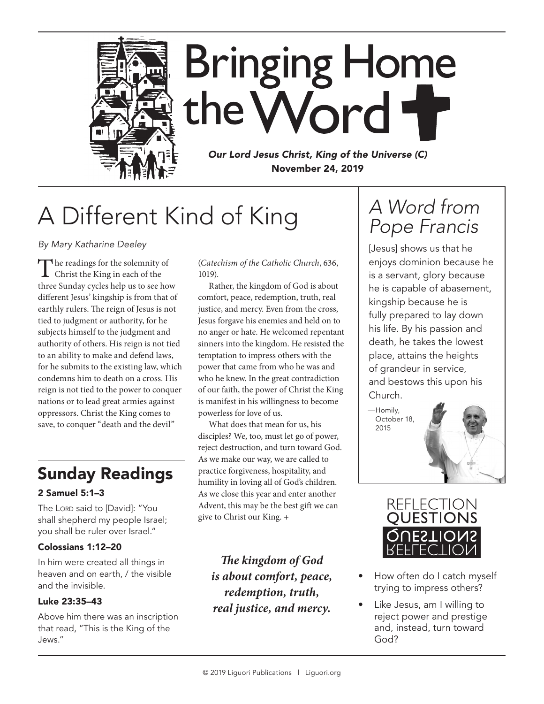

**Bringing Home** the Word

*Our Lord Jesus Christ, King of the Universe (C)* November 24, 2019

# A Different Kind of King

*By Mary Katharine Deeley*

The readings for the solemnity of<br>Christ the King in each of the three Sunday cycles help us to see how different Jesus' kingship is from that of earthly rulers. The reign of Jesus is not tied to judgment or authority, for he subjects himself to the judgment and authority of others. His reign is not tied to an ability to make and defend laws, for he submits to the existing law, which condemns him to death on a cross. His reign is not tied to the power to conquer nations or to lead great armies against oppressors. Christ the King comes to save, to conquer "death and the devil"

### Sunday Readings

### 2 Samuel 5:1–3

The Lord said to [David]: "You shall shepherd my people Israel; you shall be ruler over Israel."

### Colossians 1:12–20

In him were created all things in heaven and on earth, / the visible and the invisible.

### Luke 23:35–43

Above him there was an inscription that read, "This is the King of the Jews."

(*Catechism of the Catholic Church*, 636, 1019).

Rather, the kingdom of God is about comfort, peace, redemption, truth, real justice, and mercy. Even from the cross, Jesus forgave his enemies and held on to no anger or hate. He welcomed repentant sinners into the kingdom. He resisted the temptation to impress others with the power that came from who he was and who he knew. In the great contradiction of our faith, the power of Christ the King is manifest in his willingness to become powerless for love of us.

What does that mean for us, his disciples? We, too, must let go of power, reject destruction, and turn toward God. As we make our way, we are called to practice forgiveness, hospitality, and humility in loving all of God's children. As we close this year and enter another Advent, this may be the best gift we can give to Christ our King. +

*The kingdom of God is about comfort, peace, redemption, truth, real justice, and mercy.*

## *A Word from Pope Francis*

[Jesus] shows us that he enjoys dominion because he is a servant, glory because he is capable of abasement, kingship because he is fully prepared to lay down his life. By his passion and death, he takes the lowest place, attains the heights of grandeur in service, and bestows this upon his Church.

 —Homily, October 18, 2015



- How often do I catch myself trying to impress others?
- Like Jesus, am I willing to reject power and prestige and, instead, turn toward God?